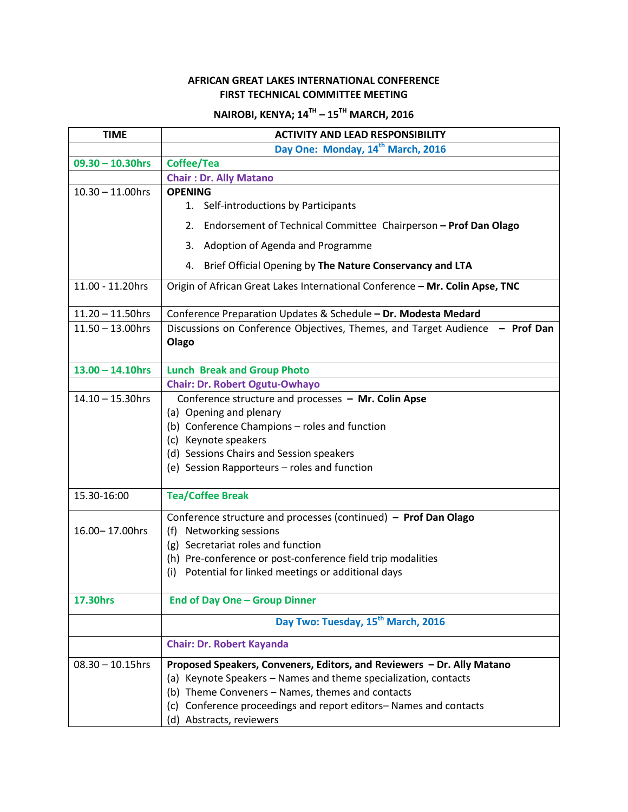## **AFRICAN GREAT LAKES INTERNATIONAL CONFERENCE FIRST TECHNICAL COMMITTEE MEETING**

## **NAIROBI, KENYA; 14TH – 15TH MARCH, 2016**

| <b>TIME</b>         | <b>ACTIVITY AND LEAD RESPONSIBILITY</b>                                                                                                                                                                                                                                                             |
|---------------------|-----------------------------------------------------------------------------------------------------------------------------------------------------------------------------------------------------------------------------------------------------------------------------------------------------|
|                     | Day One: Monday, 14 <sup>th</sup> March, 2016                                                                                                                                                                                                                                                       |
| $09.30 - 10.30$ hrs | Coffee/Tea                                                                                                                                                                                                                                                                                          |
|                     | <b>Chair: Dr. Ally Matano</b>                                                                                                                                                                                                                                                                       |
| $10.30 - 11.00$ hrs | <b>OPENING</b>                                                                                                                                                                                                                                                                                      |
|                     | 1. Self-introductions by Participants                                                                                                                                                                                                                                                               |
|                     | Endorsement of Technical Committee Chairperson - Prof Dan Olago<br>2.                                                                                                                                                                                                                               |
|                     | Adoption of Agenda and Programme<br>3.                                                                                                                                                                                                                                                              |
|                     | Brief Official Opening by The Nature Conservancy and LTA<br>4.                                                                                                                                                                                                                                      |
| 11.00 - 11.20hrs    | Origin of African Great Lakes International Conference - Mr. Colin Apse, TNC                                                                                                                                                                                                                        |
| $11.20 - 11.50$ hrs | Conference Preparation Updates & Schedule - Dr. Modesta Medard                                                                                                                                                                                                                                      |
| $11.50 - 13.00$ hrs | Discussions on Conference Objectives, Themes, and Target Audience - Prof Dan<br>Olago                                                                                                                                                                                                               |
| $13.00 - 14.10$ hrs | <b>Lunch Break and Group Photo</b>                                                                                                                                                                                                                                                                  |
|                     | <b>Chair: Dr. Robert Ogutu-Owhayo</b>                                                                                                                                                                                                                                                               |
| $14.10 - 15.30$ hrs | Conference structure and processes - Mr. Colin Apse<br>(a) Opening and plenary<br>(b) Conference Champions - roles and function<br>(c) Keynote speakers<br>(d) Sessions Chairs and Session speakers<br>(e) Session Rapporteurs - roles and function                                                 |
| 15.30-16:00         | <b>Tea/Coffee Break</b>                                                                                                                                                                                                                                                                             |
| 16.00-17.00hrs      | Conference structure and processes (continued) - Prof Dan Olago<br>(f) Networking sessions<br>(g) Secretariat roles and function<br>(h) Pre-conference or post-conference field trip modalities<br>(i) Potential for linked meetings or additional days                                             |
| <b>17.30hrs</b>     | <b>End of Day One - Group Dinner</b>                                                                                                                                                                                                                                                                |
|                     | Day Two: Tuesday, 15 <sup>th</sup> March, 2016                                                                                                                                                                                                                                                      |
|                     | <b>Chair: Dr. Robert Kayanda</b>                                                                                                                                                                                                                                                                    |
| $08.30 - 10.15$ hrs | Proposed Speakers, Conveners, Editors, and Reviewers - Dr. Ally Matano<br>(a) Keynote Speakers - Names and theme specialization, contacts<br>Theme Conveners - Names, themes and contacts<br>(b)<br>Conference proceedings and report editors-Names and contacts<br>(c)<br>(d) Abstracts, reviewers |